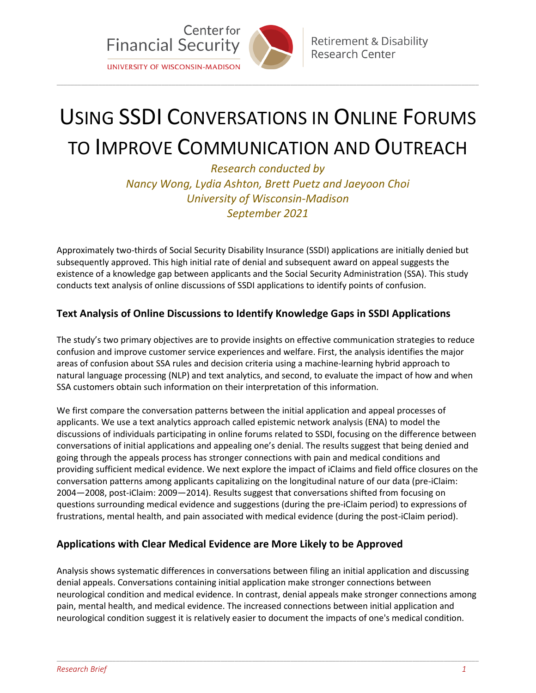

# USING SSDI CONVERSATIONS IN ONLINE FORUMS TO IMPROVE COMMUNICATION AND OUTREACH

 $\bot$  , and the set of the set of the set of the set of the set of the set of the set of the set of the set of the set of the set of the set of the set of the set of the set of the set of the set of the set of the set of t

*Research conducted by Nancy Wong, Lydia Ashton, Brett Puetz and Jaeyoon Choi University of Wisconsin-Madison September 2021*

Approximately two-thirds of Social Security Disability Insurance (SSDI) applications are initially denied but subsequently approved. This high initial rate of denial and subsequent award on appeal suggests the existence of a knowledge gap between applicants and the Social Security Administration (SSA). This study conducts text analysis of online discussions of SSDI applications to identify points of confusion.

## **Text Analysis of Online Discussions to Identify Knowledge Gaps in SSDI Applications**

The study's two primary objectives are to provide insights on effective communication strategies to reduce confusion and improve customer service experiences and welfare. First, the analysis identifies the major areas of confusion about SSA rules and decision criteria using a machine-learning hybrid approach to natural language processing (NLP) and text analytics, and second, to evaluate the impact of how and when SSA customers obtain such information on their interpretation of this information.

We first compare the conversation patterns between the initial application and appeal processes of applicants. We use a text analytics approach called epistemic network analysis (ENA) to model the discussions of individuals participating in online forums related to SSDI, focusing on the difference between conversations of initial applications and appealing one's denial. The results suggest that being denied and going through the appeals process has stronger connections with pain and medical conditions and providing sufficient medical evidence. We next explore the impact of iClaims and field office closures on the conversation patterns among applicants capitalizing on the longitudinal nature of our data (pre-iClaim: 2004—2008, post-iClaim: 2009—2014). Results suggest that conversations shifted from focusing on questions surrounding medical evidence and suggestions (during the pre-iClaim period) to expressions of frustrations, mental health, and pain associated with medical evidence (during the post-iClaim period).

### **Applications with Clear Medical Evidence are More Likely to be Approved**

Analysis shows systematic differences in conversations between filing an initial application and discussing denial appeals. Conversations containing initial application make stronger connections between neurological condition and medical evidence. In contrast, denial appeals make stronger connections among pain, mental health, and medical evidence. The increased connections between initial application and neurological condition suggest it is relatively easier to document the impacts of one's medical condition.

 $\bot$  , and the set of the set of the set of the set of the set of the set of the set of the set of the set of the set of the set of the set of the set of the set of the set of the set of the set of the set of the set of t